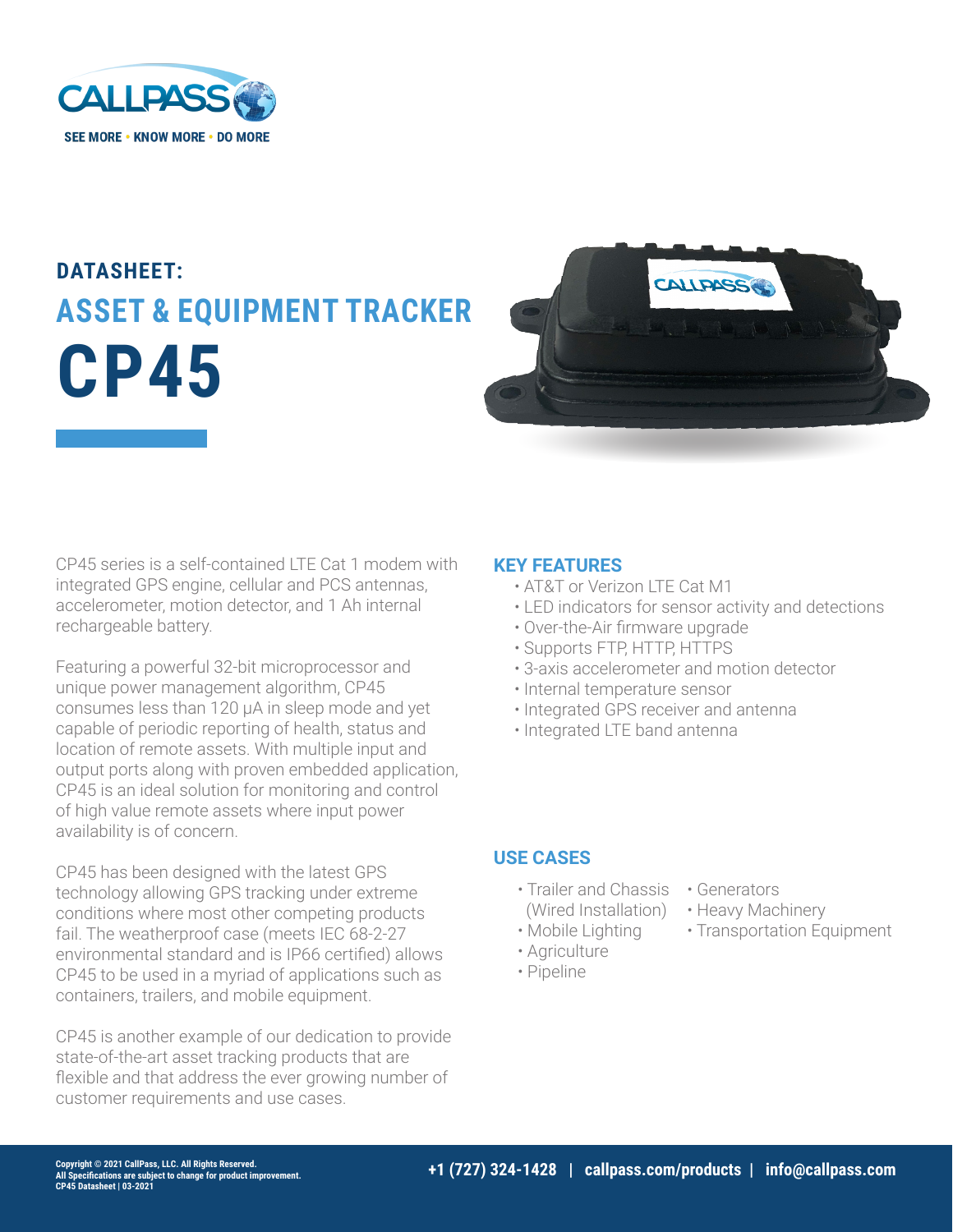

## **DATASHEET: ASSET & EQUIPMENT TRACKER CP45**



CP45 series is a self-contained LTE Cat 1 modem with integrated GPS engine, cellular and PCS antennas, accelerometer, motion detector, and 1 Ah internal rechargeable battery.

Featuring a powerful 32-bit microprocessor and unique power management algorithm, CP45 consumes less than 120 μA in sleep mode and yet capable of periodic reporting of health, status and location of remote assets. With multiple input and output ports along with proven embedded application, CP45 is an ideal solution for monitoring and control of high value remote assets where input power availability is of concern.

CP45 has been designed with the latest GPS technology allowing GPS tracking under extreme conditions where most other competing products fail. The weatherproof case (meets IEC 68-2-27 environmental standard and is IP66 certified) allows CP45 to be used in a myriad of applications such as containers, trailers, and mobile equipment.

CP45 is another example of our dedication to provide state-of-the-art asset tracking products that are flexible and that address the ever growing number of customer requirements and use cases.

## **KEY FEATURES**

- AT&T or Verizon LTE Cat M1
- LED indicators for sensor activity and detections
- Over-the-Air firmware upgrade
- Supports FTP, HTTP, HTTPS
- 3-axis accelerometer and motion detector
- Internal temperature sensor
- Integrated GPS receiver and antenna
- Integrated LTE band antenna

## **USE CASES**

- Trailer and Chassis Generators (Wired Installation)
- Mobile Lighting
- Agriculture
- Pipeline
- 
- Heavy Machinery
- Transportation Equipment